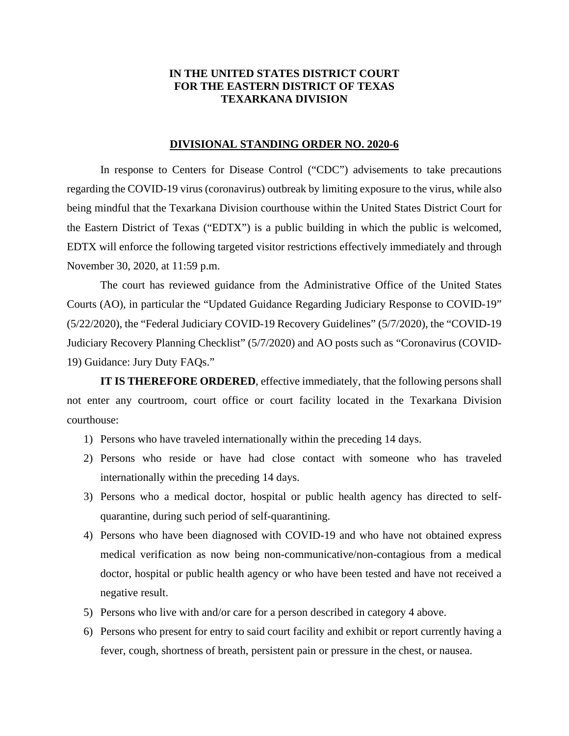## **IN THE UNITED STATES DISTRICT COURT FOR THE EASTERN DISTRICT OF TEXAS TEXARKANA DIVISION**

## **DIVISIONAL STANDING ORDER NO. 2020-6**

In response to Centers for Disease Control ("CDC") advisements to take precautions regarding the COVID-19 virus (coronavirus) outbreak by limiting exposure to the virus, while also being mindful that the Texarkana Division courthouse within the United States District Court for the Eastern District of Texas ("EDTX") is a public building in which the public is welcomed, EDTX will enforce the following targeted visitor restrictions effectively immediately and through November 30, 2020, at 11:59 p.m.

The court has reviewed guidance from the Administrative Office of the United States Courts (AO), in particular the "Updated Guidance Regarding Judiciary Response to COVID-19" (5/22/2020), the "Federal Judiciary COVID-19 Recovery Guidelines" (5/7/2020), the "COVID-19 Judiciary Recovery Planning Checklist" (5/7/2020) and AO posts such as "Coronavirus (COVID-19) Guidance: Jury Duty FAQs."

**IT IS THEREFORE ORDERED**, effective immediately, that the following persons shall not enter any courtroom, court office or court facility located in the Texarkana Division courthouse:

- 1) Persons who have traveled internationally within the preceding 14 days.
- 2) Persons who reside or have had close contact with someone who has traveled internationally within the preceding 14 days.
- 3) Persons who a medical doctor, hospital or public health agency has directed to selfquarantine, during such period of self-quarantining.
- 4) Persons who have been diagnosed with COVID-19 and who have not obtained express medical verification as now being non-communicative/non-contagious from a medical doctor, hospital or public health agency or who have been tested and have not received a negative result.
- 5) Persons who live with and/or care for a person described in category 4 above.
- 6) Persons who present for entry to said court facility and exhibit or report currently having a fever, cough, shortness of breath, persistent pain or pressure in the chest, or nausea.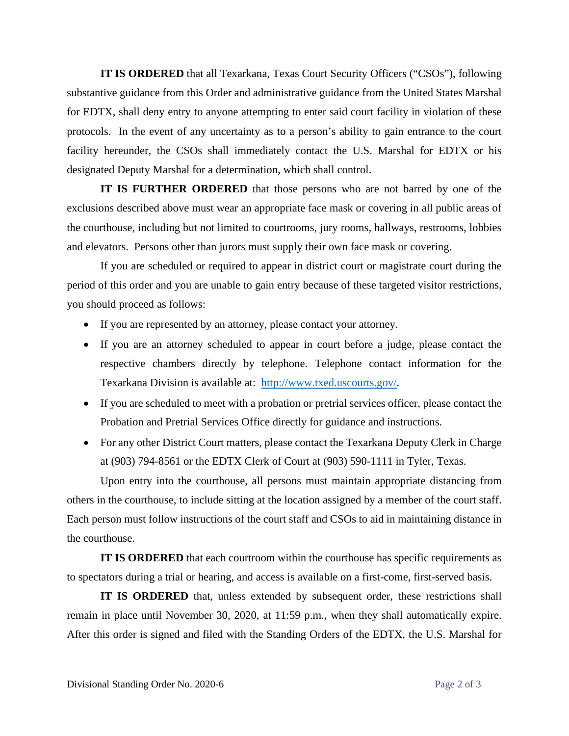**IT IS ORDERED** that all Texarkana, Texas Court Security Officers ("CSOs"), following substantive guidance from this Order and administrative guidance from the United States Marshal for EDTX, shall deny entry to anyone attempting to enter said court facility in violation of these protocols. In the event of any uncertainty as to a person's ability to gain entrance to the court facility hereunder, the CSOs shall immediately contact the U.S. Marshal for EDTX or his designated Deputy Marshal for a determination, which shall control.

**IT IS FURTHER ORDERED** that those persons who are not barred by one of the exclusions described above must wear an appropriate face mask or covering in all public areas of the courthouse, including but not limited to courtrooms, jury rooms, hallways, restrooms, lobbies and elevators. Persons other than jurors must supply their own face mask or covering.

If you are scheduled or required to appear in district court or magistrate court during the period of this order and you are unable to gain entry because of these targeted visitor restrictions, you should proceed as follows:

- If you are represented by an attorney, please contact your attorney.
- If you are an attorney scheduled to appear in court before a judge, please contact the respective chambers directly by telephone. Telephone contact information for the Texarkana Division is available at: http://www.txed.uscourts.gov/.
- If you are scheduled to meet with a probation or pretrial services officer, please contact the Probation and Pretrial Services Office directly for guidance and instructions.
- For any other District Court matters, please contact the Texarkana Deputy Clerk in Charge at (903) 794-8561 or the EDTX Clerk of Court at (903) 590-1111 in Tyler, Texas.

Upon entry into the courthouse, all persons must maintain appropriate distancing from others in the courthouse, to include sitting at the location assigned by a member of the court staff. Each person must follow instructions of the court staff and CSOs to aid in maintaining distance in the courthouse.

**IT IS ORDERED** that each courtroom within the courthouse has specific requirements as to spectators during a trial or hearing, and access is available on a first-come, first-served basis.

**IT IS ORDERED** that, unless extended by subsequent order, these restrictions shall remain in place until November 30, 2020, at 11:59 p.m., when they shall automatically expire. After this order is signed and filed with the Standing Orders of the EDTX, the U.S. Marshal for